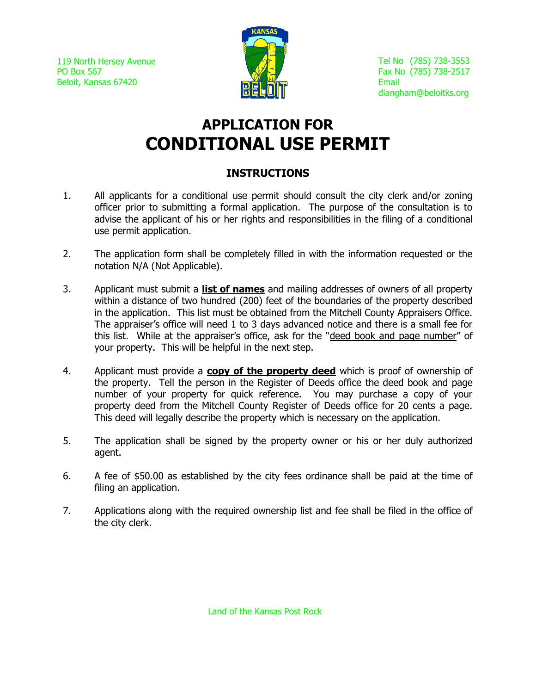119 North Hersey Avenue PO Box 567 Beloit, Kansas 67420



# **APPLICATION FOR CONDITIONAL USE PERMIT**

# **INSTRUCTIONS**

- 1. All applicants for a conditional use permit should consult the city clerk and/or zoning officer prior to submitting a formal application. The purpose of the consultation is to advise the applicant of his or her rights and responsibilities in the filing of a conditional use permit application.
- 2. The application form shall be completely filled in with the information requested or the notation N/A (Not Applicable).
- 3. Applicant must submit a **list of names** and mailing addresses of owners of all property within a distance of two hundred (200) feet of the boundaries of the property described in the application. This list must be obtained from the Mitchell County Appraisers Office. The appraiser's office will need 1 to 3 days advanced notice and there is a small fee for this list. While at the appraiser's office, ask for the "deed book and page number" of your property. This will be helpful in the next step.
- 4. Applicant must provide a **copy of the property deed** which is proof of ownership of the property. Tell the person in the Register of Deeds office the deed book and page number of your property for quick reference. You may purchase a copy of your property deed from the Mitchell County Register of Deeds office for 20 cents a page. This deed will legally describe the property which is necessary on the application.
- 5. The application shall be signed by the property owner or his or her duly authorized agent.
- 6. A fee of \$50.00 as established by the city fees ordinance shall be paid at the time of filing an application.
- 7. Applications along with the required ownership list and fee shall be filed in the office of the city clerk.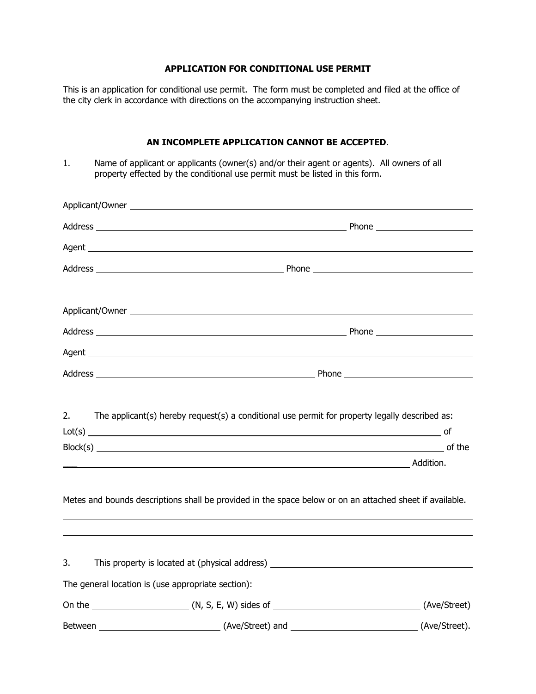## **APPLICATION FOR CONDITIONAL USE PERMIT**

This is an application for conditional use permit. The form must be completed and filed at the office of the city clerk in accordance with directions on the accompanying instruction sheet.

### **AN INCOMPLETE APPLICATION CANNOT BE ACCEPTED**.

1. Name of applicant or applicants (owner(s) and/or their agent or agents). All owners of all property effected by the conditional use permit must be listed in this form.

| Applicant/Owner experience and the state of the state of the state of the state of the state of the state of the state of the state of the state of the state of the state of the state of the state of the state of the state |                                                                                                          |
|--------------------------------------------------------------------------------------------------------------------------------------------------------------------------------------------------------------------------------|----------------------------------------------------------------------------------------------------------|
|                                                                                                                                                                                                                                |                                                                                                          |
|                                                                                                                                                                                                                                |                                                                                                          |
|                                                                                                                                                                                                                                |                                                                                                          |
|                                                                                                                                                                                                                                |                                                                                                          |
|                                                                                                                                                                                                                                |                                                                                                          |
|                                                                                                                                                                                                                                |                                                                                                          |
|                                                                                                                                                                                                                                |                                                                                                          |
|                                                                                                                                                                                                                                |                                                                                                          |
|                                                                                                                                                                                                                                |                                                                                                          |
| 2.                                                                                                                                                                                                                             | The applicant(s) hereby request(s) a conditional use permit for property legally described as:           |
|                                                                                                                                                                                                                                |                                                                                                          |
|                                                                                                                                                                                                                                |                                                                                                          |
|                                                                                                                                                                                                                                |                                                                                                          |
|                                                                                                                                                                                                                                | Metes and bounds descriptions shall be provided in the space below or on an attached sheet if available. |
|                                                                                                                                                                                                                                |                                                                                                          |
| 3.                                                                                                                                                                                                                             | This property is located at (physical address) __________________________________                        |
|                                                                                                                                                                                                                                | The general location is (use appropriate section):                                                       |
|                                                                                                                                                                                                                                |                                                                                                          |
|                                                                                                                                                                                                                                |                                                                                                          |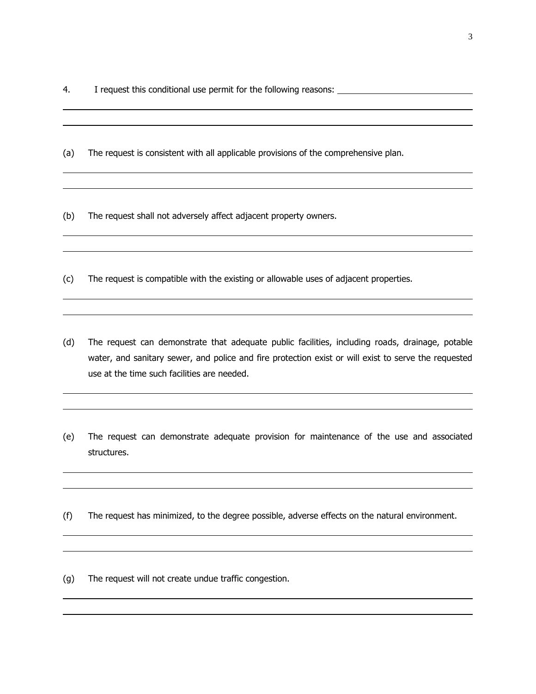4. I request this conditional use permit for the following reasons:

(a) The request is consistent with all applicable provisions of the comprehensive plan.

(b) The request shall not adversely affect adjacent property owners.

(c) The request is compatible with the existing or allowable uses of adjacent properties.

- (d) The request can demonstrate that adequate public facilities, including roads, drainage, potable water, and sanitary sewer, and police and fire protection exist or will exist to serve the requested use at the time such facilities are needed.
- (e) The request can demonstrate adequate provision for maintenance of the use and associated structures.
- (f) The request has minimized, to the degree possible, adverse effects on the natural environment.

(g) The request will not create undue traffic congestion.